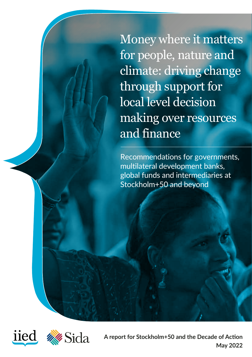Money where it matters for people, nature and climate: driving change through support for local level decision making over resources and finance

Recommendations for governments, multilateral development banks, global funds and intermediaries at Stockholm+50 and beyond





**A report for Stockholm+50 and the Decade of Action May 2022**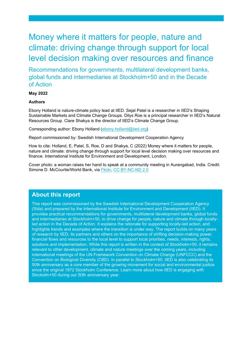# Money where it matters for people, nature and climate: driving change through support for local level decision making over resources and finance

Recommendations for governments, multilateral development banks, global funds and intermediaries at Stockholm+50 and in the Decade of Action

#### **May 2022**

#### **Authors**

Ebony Holland is nature-climate policy lead at IIED. Sejal Patel is a researcher in IIED's Shaping Sustainable Markets and Climate Change Groups. Dilys Roe is a principal researcher in IIED's Natural Resources Group. Clare Shakya is the director of IIED's Climate Change Group.

Corresponding author: Ebony Holland [\(ebony.holland@iied.org\)](mailto:ebony.holland@iied.org)

Report commissioned by: Swedish International Development Cooperation Agency

How to cite: Holland, E, Patel, S, Roe, D and Shakya, C (2022) Money where it matters for people, nature and climate: driving change through support for local level decision making over resources and finance. International Institute for Environment and Development, London.

Cover photo: a woman raises her hand to speak at a community meeting in Aurangabad, India. Credit: Simone D. McCourtie/World Bank, via [Flickr,](https://www.flickr.com/photos/worldbank/3492673802/in/album-72157633529161411/) [CC BY-NC-ND 2.0](https://creativecommons.org/licenses/by-nc-nd/2.0/)

### **About this report**

This report was commissioned by the Swedish International Development Cooperation Agency (Sida) and prepared by the International Institute for Environment and Development (IIED). It provides practical recommendations for governments, multilateral development banks, global funds and intermediaries at Stockholm+50, to drive change for people, nature and climate through locallyled action in the Decade of Action. It explains the rationale for supporting locally-led action, and highlights trends and examples where the transition is under way. The report builds on many years of research by IIED, its partners and others on the importance of shifting decision-making power, financial flows and resources to the local level to support local priorities, needs, interests, rights, solutions and implementation. While this report is written in the context of Stockholm+50, it remains relevant to other development, climate and nature meetings over the coming years, including international meetings of the UN Framework Convention on Climate Change (UNFCCC) and the Convention on Biological Diversity (CBD). In parallel to Stockholm+50, IIED is also celebrating its 50th anniversary as a core member of the growing movement for social and environmental justice since the original 1972 Stockholm Conference. Learn more about how [IIED is engaging with](https://www.iied.org/making-finance-flow-for-locally-led-action-decade-action)  [Stockolm+50](https://www.iied.org/making-finance-flow-for-locally-led-action-decade-action) during our [50th anniversary year.](https://www.iied.org/iied-50-protecting-people-planet-for-half-century?utm_source=nav&utm_medium=web)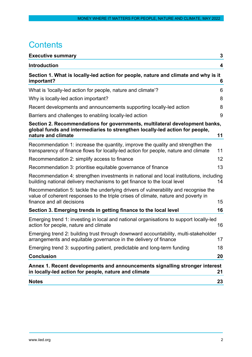# **Contents**

| <b>Executive summary</b>                                                                                                                                                                              | 3                 |
|-------------------------------------------------------------------------------------------------------------------------------------------------------------------------------------------------------|-------------------|
| <b>Introduction</b>                                                                                                                                                                                   | 4                 |
| Section 1. What is locally-led action for people, nature and climate and why is it<br>important?                                                                                                      | 6                 |
| What is 'locally-led action for people, nature and climate'?                                                                                                                                          | 6                 |
| Why is locally-led action important?                                                                                                                                                                  | 8                 |
| Recent developments and announcements supporting locally-led action                                                                                                                                   | 8                 |
| Barriers and challenges to enabling locally-led action                                                                                                                                                | 9                 |
| Section 2. Recommendations for governments, multilateral development banks,<br>global funds and intermediaries to strengthen locally-led action for people,<br>nature and climate                     | 11                |
| Recommendation 1: increase the quantity, improve the quality and strengthen the<br>transparency of finance flows for locally-led action for people, nature and climate                                | 11                |
| Recommendation 2: simplify access to finance                                                                                                                                                          | $12 \overline{ }$ |
| Recommendation 3: prioritise equitable governance of finance                                                                                                                                          | 13                |
| Recommendation 4: strengthen investments in national and local institutions, including<br>building national delivery mechanisms to get finance to the local level                                     | 14                |
| Recommendation 5: tackle the underlying drivers of vulnerability and recognise the<br>value of coherent responses to the triple crises of climate, nature and poverty in<br>finance and all decisions | 15                |
| Section 3. Emerging trends in getting finance to the local level                                                                                                                                      | 16                |
| Emerging trend 1: investing in local and national organisations to support locally-led<br>action for people, nature and climate                                                                       | 16                |
| Emerging trend 2: building trust through downward accountability, multi-stakeholder<br>arrangements and equitable governance in the delivery of finance                                               | 17                |
| Emerging trend 3: supporting patient, predictable and long-term funding                                                                                                                               | 18                |
| <b>Conclusion</b>                                                                                                                                                                                     | 20                |
| Annex 1. Recent developments and announcements signalling stronger interest<br>in locally-led action for people, nature and climate                                                                   | 21                |
| <b>Notes</b>                                                                                                                                                                                          | 23                |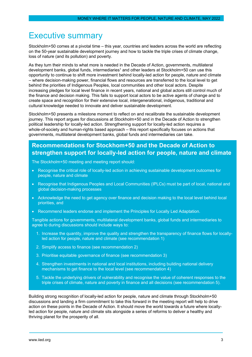# <span id="page-3-0"></span>Executive summary

Stockholm+50 comes at a pivotal time – this year, countries and leaders across the world are reflecting on the 50-year sustainable development journey and how to tackle the triple crises of climate change, loss of nature (and its pollution) and poverty.

As they turn their minds to what more is needed in the Decade of Action, governments, multilateral development banks, global funds, intermediaries<sup>1</sup> and other leaders at Stockholm+50 can use this opportunity to continue to shift more investment behind locally-led action for people, nature and climate – where decision-making power, financial flows and resources are transferred to the local level to get behind the priorities of Indigenous Peoples, local communities and other local actors. Despite increasing pledges for local level finance in recent years, national and global actors still control much of the finance and decision making. This fails to support local actors to be active agents of change and to create space and recognition for their extensive local, intergenerational, indigenous, traditional and cultural knowledge needed to innovate and deliver sustainable development.

Stockholm+50 presents a milestone moment to reflect on and recalibrate the sustainable development journey. This report argues for discussions at Stockholm+50 and in the Decade of Action to strengthen political leadership for locally-led action. Strengthening support for locally-led action requires a whole-of-society and human-rights based approach – this report specifically focuses on actions that governments, multilateral development banks, global funds and intermediaries can take.

## **Recommendations for Stockhom+50 and the Decade of Action to strengthen support for locally-led action for people, nature and climate**

The Stockholm+50 meeting and meeting report should:

- Recognise the critical role of locally-led action in achieving sustainable development outcomes for people, nature and climate
- Recognise that Indigenous Peoples and Local Communities (IPLCs) must be part of local, national and global decision-making processes
- Acknowledge the need to get agency over finance and decision making to the local level behind local priorities, and
- Recommend leaders endorse and implement the Principles for Locally Led Adaptation.

Tangible actions for governments, multilateral development banks, global funds and intermediaries to agree to during discussions should include ways to:

- 1. Increase the quantity, improve the quality and strengthen the transparency of finance flows for locallyled action for people, nature and climate (see recommendation 1)
- 2. Simplify access to finance (see recommendation 2)
- 3. Prioritise equitable governance of finance (see recommendation 3)
- 4. Strengthen investments in national and local institutions, including building national delivery mechanisms to get finance to the local level (see recommendation 4)
- 5. Tackle the underlying drivers of vulnerability and recognise the value of coherent responses to the triple crises of climate, nature and poverty in finance and all decisions (see recommendation 5).

Building strong recognition of locally-led action for people, nature and climate through Stockholm+50 discussions and landing a firm commitment to take this forward in the meeting report will help to drive action on these points in the Decade of Action. It should move the world towards a future where locallyled action for people, nature and climate sits alongside a series of reforms to deliver a healthy and thriving planet for the prosperity of all.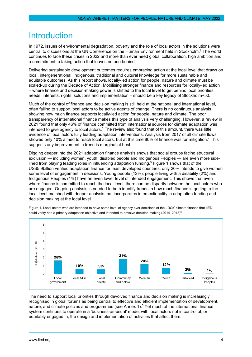# <span id="page-4-0"></span>**Introduction**

In 1972, issues of environmental degradation, poverty and the role of local actors in the solutions were central to discussions at the UN Conference on the Human Environment held in Stockholm. <sup>2</sup> The world continues to face these crises in 2022 and more than ever need global collaboration, high ambition and a commitment to taking action that leaves no one behind.

Delivering sustainable development outcomes requires embracing action at the local level that draws on local, intergenerational, indigenous, traditional and cultural knowledge for more sustainable and equitable outcomes. As this report shows, locally-led action for people, nature and climate must be scaled-up during the Decade of Action. Mobilising stronger finance and resources for locally-led action – where finance and decision-making power is shifted to the local level to get behind local priorities, needs, interests, rights, solutions and implementation – should be a key legacy of Stockholm+50.

Much of the control of finance and decision making is still held at the national and international level, often failing to support local actors to be active agents of change. There is no continuous analysis showing how much finance supports locally-led action for people, nature and climate. The poor transparency of international finance makes this type of analysis very challenging. However, a review in 2021 found that only 46% of finance committed from international sources for climate adaptation was intended to give agency to local actors. $3$  The review also found that of this amount, there was little evidence of local actors fully leading adaptation interventions. Analysis from 2017 of all climate flows showed only 10% aimed to reach local actors, but at this time 80% of finance was for mitigation.<sup>4</sup> This suggests any improvement in trend is marginal at best.

Digging deeper into the 2021 adaptation finance analysis shows that social groups facing structural exclusion — including women, youth, disabled people and Indigenous Peoples — are even more sidelined from playing leading roles in influencing adaptation funding. $3$  Figure 1 shows that of the US\$5.9billion verified adaptation finance for least developed countries, only 20% intends to give women some level of engagement in decisions. Young people (12%), people living with a disability (2%) and Indigenous Peoples (1%) have an even lower level of intended engagement. This shows that even where finance is committed to reach the local level, there can be disparity between the local actors who are engaged. Ongoing analysis is needed to both identify trends in how much finance is getting to the local level matched with deeper analysis that incorporates intersectionality in adaptation funding and decision making at the local level.



Figure 1. Local actors who are intended to have some level of agency over decisions of the LDCs' climate finance that IIED could verify had a primary adaptation objective and intended to devolve decision making (2014–2018)<sup>3</sup>

The need to support local priorities through devolved finance and decision making is increasingly recognised in global forums as being central to effective and efficient implementation of development, nature, and climate policies and programmes (see Annex 1). <sup>5</sup> Yet much of the international finance system continues to operate in a 'business-as-usual' mode, with local actors not in control of, or equitably engaged in, the design and implementation of activities that affect them.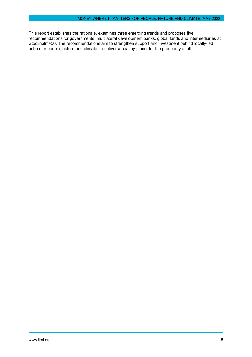<span id="page-5-0"></span>This report establishes the rationale, examines three emerging trends and proposes five recommendations for governments, multilateral development banks, global funds and intermediaries at Stockholm+50. The recommendations aim to strengthen support and investment behind locally-led action for people, nature and climate, to deliver a healthy planet for the prosperity of all.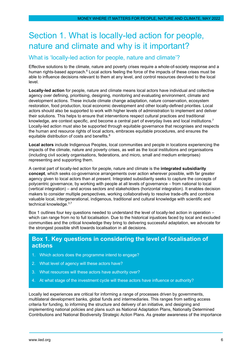# Section 1. What is locally-led action for people, nature and climate and why is it important?

### <span id="page-6-0"></span>What is 'locally-led action for people, nature and climate'?

Effective solutions to the climate, nature and poverty crises require a whole-of-society response and a human rights-based approach.<sup>6</sup> Local actors feeling the force of the impacts of these crises must be able to influence decisions relevant to them at any level, and control resources devolved to the local level.

**Locally-led action** for people, nature and climate means local actors have individual and collective agency over defining, prioritising, designing, monitoring and evaluating environment, climate and development actions. These include climate change adaptation, nature conservation, ecosystem restoration, food production, local economic development and other locally-defined priorities. Local actors should also be supported to work with higher levels of administration to implement and deliver their solutions. This helps to ensure that interventions respect cultural practices and traditional knowledge, are context specific, and become a central part of everyday lives and local institutions.<sup>7</sup> Locally-led action must also be supported through equitable governance that recognises and respects the human and resource rights of local actors, embraces equitable procedures, and ensures the equitable distribution of costs and benefits.<sup>8</sup>

**Local actors** include Indigenous Peoples, local communities and people in locations experiencing the impacts of the climate, nature and poverty crises, as well as the local institutions and organisations (including civil society organisations, federations, and micro, small and medium enterprises) representing and supporting them.

A central part of locally-led action for people, nature and climate is the **integrated subsidiarity concept**, which seeks co-governance arrangements over action wherever possible, with far greater agency given to local actors than at present. Integrated subsidiarity seeks to capture the concepts of polycentric governance, by working with people at all levels of governance – from national to local (vertical integration) – and across sectors and stakeholders (horizontal integration). It enables decision makers to consider multiple perspectives, working collaboratively to resolve trade-offs and combine valuable local, intergenerational, indigenous, traditional and cultural knowledge with scientific and technical knowledge.<sup>3,7</sup>

Box 1 outlines four key questions needed to understand the level of locally-led action in operation – which can range from no to full localisation. Due to the historical injustices faced by local and excluded communities and the critical knowledge they bring to delivering successful adaptation, we advocate for the strongest possible shift towards localisation in all decisions.

### **Box 1. Key questions in considering the level of localisation of actions**

- 1. Which actors does the programme intend to engage?
- 2. What level of agency will these actors have?
- 3. What resources will these actors have authority over?
- 4. At what stage of the investment cycle will these actors have influence or authority?

Locally led experiences are critical for informing a range of processes driven by governments, multilateral development banks, global funds and intermediaries. This ranges from setting access criteria for funding, to informing the structure and delivery of an initiative, and designing and implementing national policies and plans such as National Adaptation Plans, Nationally Determined Contributions and National Biodiversity Strategic Action Plans. As greater awareness of the importance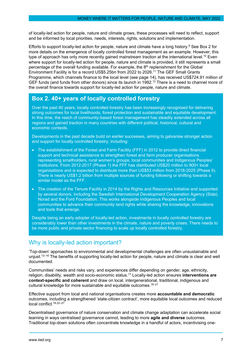of locally-led action for people, nature and climate grows, these processes will need to reflect, support and be informed by local priorities, needs, interests, rights, solutions and implementation.

Efforts to support locally-led action for people, nature and climate have a long history. <sup>9</sup> See Box 2 for more details on the emergence of locally controlled forest management as an example. However, this type of approach has only more recently gained mainstream traction at the international level. <sup>10</sup> Even where support for locally-led action for people, nature and climate is provided, it still represents a small percentage of the overall funding available. For example, the 8<sup>th</sup> replenishment for the Global Environment Facility is for a record US\$5.25bn from 2022 to 2026.11 The GEF Small Grants Programme, which channels finance to the local level (see page 14), has received US\$724.91 million of GEF funds (and funds from other donors) since its launch in 1992.<sup>12</sup> There is a need to channel more of the overall finance towards support for locally-led action for people, nature and climate.

# **Box 2. 40+ years of locally controlled forestry**

Over the past 40 years, locally controlled forestry has been increasingly recognised for delivering strong outcomes for local livelihoods, forest protection and sustainable and equitable development. In this time, the reach of community-based forest management has steadily extended across all regions and gained traction in many countries with different political, historical, cultural and economic contexts.

Developments in the past decade build on earlier successes, aiming to galvanise stronger action and support for locally controlled forestry, including:

- The establishment of the Forest and Farm Facility (FFF) in 2012 to provide direct financial support and technical assistance to strengthen forest and farm producer organisations representing smallholders, rural women's groups, local communities and Indigenous Peoples' institutions. From 2012-2017 (Phase 1) the FFF has distributed US\$20 million to 900+ local organisations and is expected to distribute more than US\$53 million from 2018-2025 (Phase II). There is nearly US\$1.2 billion from multiple sources of funding following or shifting towards a similar model as the FFF.
- The creation of the Tenure Facility in 2014 by the Rights and Resources Initiative and supported by several donors, including the Swedish International Development Cooperation Agency (Sida), Norad and the Ford Foundation. This works alongside Indigenous Peoples and local communities to advance their community land rights while sharing the knowledge, innovations and tools that emerge.

Despite being an early adopter of locally-led action, investments in locally controlled forestry are considerably lower than other investments in the climate, nature and poverty crises. There needs to be more public and private sector financing to scale up locally controlled forestry.

# <span id="page-7-0"></span>Why is locally-led action important?

'Top-down' approaches to environmental and developmental challenges are often unsustainable and unjust.<sup>13–16</sup> The benefits of supporting locally-led action for people, nature and climate is clear and well documented.

Communities' needs and risks vary, and experiences differ depending on gender, age, ethnicity, religion, disability, wealth and socio-economic status.17 Locally-led action ensures **interventions are context-specific and coherent** and draw on local, intergenerational, traditional, indigenous and cultural knowledge for more sustainable and equitable outcomes.<sup>18-21</sup>

Effective support from local and national organisations creates more **accountable and democratic** outcomes, including a strengthened 'state-citizen contract', more equitable local outcomes and reduced local conflict.18,22–27

Decentralised governance of nature conservation and climate change adaptation can accelerate social learning in ways centralised governance cannot, leading to more **agile and diverse** outcomes. Traditional top-down solutions often concentrate knowledge in a handful of actors, incentivising one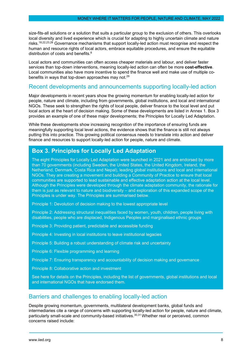size-fits-all solutions or a solution that suits a particular group to the exclusion of others. This overlooks local diversity and lived experience which is crucial for adapting to highly uncertain climate and nature risks.18,22,23,28 Governance mechanisms that support locally-led action must recognise and respect the human and resource rights of local actors, embrace equitable procedures, and ensure the equitable distribution of costs and benefits.<sup>8</sup>

Local actors and communities can often access cheaper materials and labour, and deliver faster services than top-down interventions, meaning locally-led action can often be more **cost-effective**. Local communities also have more incentive to spend the finance well and make use of multiple cobenefits in ways that top-down approaches may not.29

### <span id="page-8-0"></span>Recent developments and announcements supporting locally-led action

Major developments in recent years show the growing momentum for enabling locally-led action for people, nature and climate, including from governments, global institutions, and local and international NGOs. These seek to strengthen the rights of local people, deliver finance to the local level and put local actors at the heart of decision making. Some of these developments are listed in Annex 1. Box 3 provides an example of one of these major developments; the Principles for Locally Led Adaptation.

While these developments show increasing recognition of the importance of ensuring funds are meaningfully supporting local level actions, the evidence shows that the finance is still not always putting this into practice. This growing political consensus needs to translate into action and deliver finance and resources to support locally-led action for people, nature and climate.

# **Box 3. Principles for Locally Led Adaptation**

The eight Principles for Locally Led Adaptation were launched in 2021 and are endorsed by more than 70 governments (including Sweden, the United States, the United Kingdom, Ireland, the Netherland, Denmark, Costa Rica and Nepal), leading global institutions and local and international NGOs. They are creating a movement and building a Community of Practice to ensure that local communities are supported to lead sustainable and effective adaptation action at the local level. Although the Principles were developed through the climate adaptation community, the rationale for them is just as relevant to nature and biodiversity – and exploration of this expanded scope of the Principles is under way. The Principles are summarised below.

Principle 1: Devolution of decision making to the lowest appropriate level

Principle 2: Addressing structural inequalities faced by women, youth, children, people living with disabilities, people who are displaced, Indigenous Peoples and marginalised ethnic groups

Principle 3: Providing patient, predictable and accessible funding

Principle 4: Investing in local institutions to leave institutional legacies

Principle 5: Building a robust understanding of climate risk and uncertainty

Principle 6: Flexible programming and learning

Principle 7: Ensuring transparency and accountability of decision making and governance

Principle 8: Collaborative action and investment

See here for details on the Principles, including the list of governments, global institutions and local and international NGOs that have endorsed them.

### <span id="page-8-1"></span>Barriers and challenges to enabling locally-led action

Despite growing momentum, governments, multilateral development banks, global funds and intermediaries cite a range of concerns with supporting locally-led action for people, nature and climate, particularly small-scale and community-based initiatives. 30,31 Whether real or perceived, common concerns raised include: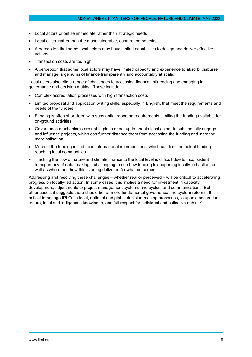- Local actors prioritise immediate rather than strategic needs
- Local elites, rather than the most vulnerable, capture the benefits
- A perception that some local actors may have limited capabilities to design and deliver effective actions
- Transaction costs are too high
- A perception that some local actors may have limited capacity and experience to absorb, disburse and manage large sums of finance transparently and accountably at scale.

Local actors also cite a range of challenges to accessing finance, influencing and engaging in governance and decision making. These include:

- Complex accreditation processes with high transaction costs
- Limited proposal and application writing skills, especially in English, that meet the requirements and needs of the funders
- Funding is often short-term with substantial reporting requirements, limiting the funding available for on-ground activities
- Governance mechanisms are not in place or set up to enable local actors to substantially engage in and influence projects, which can further distance them from accessing the funding and increase marginalisation
- Much of the funding is tied up in international intermediaries, which can limit the actual funding reaching local communities
- Tracking the flow of nature and climate finance to the local level is difficult due to inconsistent transparency of data, making it challenging to see how funding is supporting locally-led action, as well as where and how this is being delivered for what outcomes.

<span id="page-9-0"></span>Addressing and resolving these challenges – whether real or perceived – will be critical to accelerating progress on locally-led action. In some cases, this implies a need for investment in capacity development, adjustments to project management systems and cycles, and communications. But in other cases, it suggests there should be far more fundamental governance and system reforms. It is critical to engage IPLCs in local, national and global decision-making processes, to uphold secure land tenure, local and indigenous knowledge, and full respect for individual and collective rights.<sup>32</sup>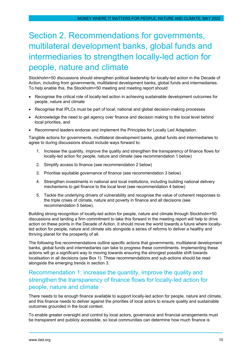# Section 2. Recommendations for governments, multilateral development banks, global funds and intermediaries to strengthen locally-led action for people, nature and climate

Stockholm+50 discussions should strengthen political leadership for locally-led action in the Decade of Action, including from governments, multilateral development banks, global funds and intermediaries. To help enable this, the Stockholm+50 meeting and meeting report should:

- Recognise the critical role of locally-led action in achieving sustainable development outcomes for people, nature and climate
- Recognise that IPLCs must be part of local, national and global decision-making processes
- Acknowledge the need to get agency over finance and decision making to the local level behind local priorities, and
- Recommend leaders endorse and implement the Principles for Locally Led Adaptation.

Tangible actions for governments, multilateral development banks, global funds and intermediaries to agree to during discussions should include ways forward to:

- 1. Increase the quantity, improve the quality and strengthen the transparency of finance flows for locally-led action for people, nature and climate (see recommendation 1 below)
- 2. Simplify access to finance (see recommendation 2 below)
- 3. Prioritise equitable governance of finance (see recommendation 3 below)
- 4. Strengthen investments in national and local institutions, including building national delivery mechanisms to get finance to the local level (see recommendation 4 below)
- 5. Tackle the underlying drivers of vulnerability and recognise the value of coherent responses to the triple crises of climate, nature and poverty in finance and all decisions (see recommendation 5 below).

Building strong recognition of locally-led action for people, nature and climate through Stockholm+50 discussions and landing a firm commitment to take this forward in the meeting report will help to drive action on these points in the Decade of Action. It should move the world towards a future where locallyled action for people, nature and climate sits alongside a series of reforms to deliver a healthy and thriving planet for the prosperity of all.

The following five recommendations outline specific actions that governments, multilateral development banks, global funds and intermediaries can take to progress these commitments. Implementing these actions will go a significant way to moving towards ensuring the strongest possible shift towards localisation in all decisions (see Box 1). These recommendations and sub-actions should be read alongside the emerging trends in section 3.

# <span id="page-10-0"></span>Recommendation 1: increase the quantity, improve the quality and strengthen the transparency of finance flows for locally-led action for people, nature and climate

There needs to be enough finance available to support locally-led action for people, nature and climate, and this finance needs to deliver against the priorities of local actors to ensure quality and sustainable outcomes grounded in the local context.

To enable greater oversight and control by local actors, governance and financial arrangements must be transparent and publicly accessible, so local communities can determine how much finance is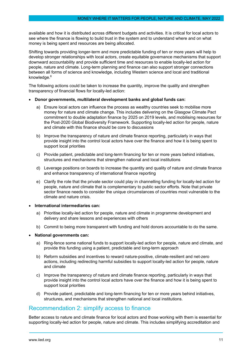available and how it is distributed across different budgets and activities. It is critical for local actors to see where the finance is flowing to build trust in the system and to understand where and on what money is being spent and resources are being allocated.

Shifting towards providing longer-term and more predictable funding of ten or more years will help to develop stronger relationships with local actors, create equitable governance mechanisms that support downward accountability and provide sufficient time and resources to enable locally-led action for people, nature and climate. Long-term planning and finance can also support stronger connections between all forms of science and knowledge, including Western science and local and traditional knowledge.<sup>6</sup>

The following actions could be taken to increase the quantity, improve the quality and strengthen transparency of financial flows for locally-led action:

#### • **Donor governments, multilateral development banks and global funds can:**

- a) Ensure local actors can influence the process as wealthy countries seek to mobilise more money for nature and climate change. This includes delivering on the Glasgow Climate Pact commitment to double adaptation finance by 2025 on 2019 levels, and mobilising resources for the Post-2020 Global Biodiversity Framework. Supporting locally-led action for people, nature and climate with this finance should be core to discussions
- b) Improve the transparency of nature and climate finance reporting, particularly in ways that provide insight into the control local actors have over the finance and how it is being spent to support local priorities
- c) Provide patient, predictable and long-term financing for ten or more years behind initiatives, structures and mechanisms that strengthen national and local institutions
- d) Leverage positions on boards to increase the quantity and quality of nature and climate finance and enhance transparency of international finance reporting
- e) Clarify the role that the private sector could play in channelling funding for locally-led action for people, nature and climate that is complementary to public sector efforts. Note that private sector finance needs to consider the unique circumstances of countries most vulnerable to the climate and nature crisis.
- **International intermediaries can:** 
	- a) Prioritise locally-led action for people, nature and climate in programme development and delivery and share lessons and experiences with others
	- b) Commit to being more transparent with funding and hold donors accountable to do the same.

#### • **National governments can:**

- a) Ring-fence some national funds to support locally-led action for people, nature and climate, and provide this funding using a patient, predictable and long-term approach
- b) Reform subsidies and incentives to reward nature-positive, climate-resilient and net-zero actions, including redirecting harmful subsidies to support locally-led action for people, nature and climate
- c) Improve the transparency of nature and climate finance reporting, particularly in ways that provide insight into the control local actors have over the finance and how it is being spent to support local priorities
- d) Provide patient, predictable and long-term financing for ten or more years behind initiatives, structures, and mechanisms that strengthen national and local institutions.

### <span id="page-11-0"></span>Recommendation 2: simplify access to finance

Better access to nature and climate finance for local actors and those working with them is essential for supporting locally-led action for people, nature and climate. This includes simplifying accreditation and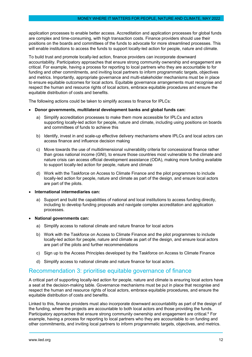application processes to enable better access. Accreditation and application processes for global funds are complex and time-consuming, with high transaction costs. Finance providers should use their positions on the boards and committees of the funds to advocate for more streamlined processes. This will enable institutions to access the funds to support locally-led action for people, nature and climate.

To build trust and promote locally-led action, finance providers can incorporate downward accountability. Participatory approaches that ensure strong community ownership and engagement are critical. For example, having a process for reporting to local partners who they are accountable to for funding and other commitments, and inviting local partners to inform programmatic targets, objectives and metrics. Importantly, appropriate governance and multi-stakeholder mechanisms must be in place to ensure equitable outcomes for local actors. Equitable governance arrangements must recognise and respect the human and resource rights of local actors, embrace equitable procedures and ensure the equitable distribution of costs and benefits.

The following actions could be taken to simplify access to finance for IPLCs:

#### • **Donor governments, multilateral development banks and global funds can:**

- a) Simplify accreditation processes to make them more accessible for IPLCs and actors supporting locally-led action for people, nature and climate, including using positions on boards and committees of funds to achieve this
- b) Identify, invest in and scale-up effective delivery mechanisms where IPLCs and local actors can access finance and influence decision making
- c) Move towards the use of multidimensional vulnerability criteria for concessional finance rather than gross national income (GNI), to ensure those countries most vulnerable to the climate and nature crisis can access official development assistance (ODA), making more funding available to support locally-led action for people, nature and climate
- d) Work with the Taskforce on Access to Climate Finance and the pilot programmes to include locally-led action for people, nature and climate as part of the design, and ensure local actors are part of the pilots.
- **International intermediaries can:** 
	- a) Support and build the capabilities of national and local institutions to access funding directly, including to develop funding proposals and navigate complex accreditation and application processes.
- **National governments can:** 
	- a) Simplify access to national climate and nature finance for local actors
	- b) Work with the Taskforce on Access to Climate Finance and the pilot programmes to include locally-led action for people, nature and climate as part of the design, and ensure local actors are part of the pilots and further recommendations
	- c) Sign up to the Access Principles developed by the Taskforce on Access to Climate Finance
	- d) Simplify access to national climate and nature finance for local actors.

### <span id="page-12-0"></span>Recommendation 3: prioritise equitable governance of finance

A critical part of supporting locally-led action for people, nature and climate is ensuring local actors have a seat at the decision-making table. Governance mechanisms must be put in place that recognise and respect the human and resource rights of local actors, embrace equitable procedures, and ensure the equitable distribution of costs and benefits.

Linked to this, finance providers must also incorporate downward accountability as part of the design of the funding, where the projects are accountable to both local actors and those providing the funds. Participatory approaches that ensure strong community ownership and engagement are critical.<sup>6</sup> For example, having a process for reporting to local partners who they are accountable to on funding and other commitments, and inviting local partners to inform programmatic targets, objectives, and metrics.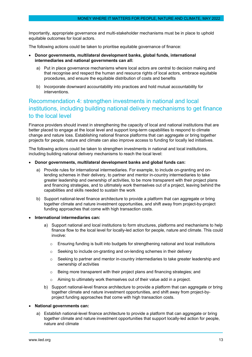Importantly, appropriate governance and multi-stakeholder mechanisms must be in place to uphold equitable outcomes for local actors.

The following actions could be taken to prioritise equitable governance of finance:

- **Donor governments, multilateral development banks, global funds, international intermediaries and national governments can all:**
	- a) Put in place governance mechanisms where local actors are central to decision making and that recognise and respect the human and resource rights of local actors, embrace equitable procedures, and ensure the equitable distribution of costs and benefits
	- b) Incorporate downward accountability into practices and hold mutual accountability for interventions.

### <span id="page-13-0"></span>Recommendation 4: strengthen investments in national and local institutions, including building national delivery mechanisms to get finance to the local level

Finance providers should invest in strengthening the capacity of local and national institutions that are better placed to engage at the local level and support long-term capabilities to respond to climate change and nature loss. Establishing national finance platforms that can aggregate or bring together projects for people, nature and climate can also improve access to funding for locally led initiatives.

The following actions could be taken to strengthen investments in national and local institutions, including building national delivery mechanisms to reach the local level:

- **Donor governments, multilateral development banks and global funds can:**
	- a) Provide rules for international intermediaries. For example, to include on-granting and onlending schemes in their delivery, to partner and mentor in-country intermediaries to take greater leadership and ownership of activities, to be more transparent with their project plans and financing strategies, and to ultimately work themselves out of a project, leaving behind the capabilities and skills needed to sustain the work
	- b) Support national-level finance architecture to provide a platform that can aggregate or bring together climate and nature investment opportunities, and shift away from project-by-project funding approaches that come with high transaction costs.
- **International intermediaries can:**
	- a) Support national and local institutions to form structures, platforms and mechanisms to help finance flow to the local level for locally-led action for people, nature and climate. This could involve:
		- $\circ$  Ensuring funding is built into budgets for strengthening national and local institutions
		- o Seeking to include on-granting and on-lending schemes in their delivery
		- $\circ$  Seeking to partner and mentor in-country intermediaries to take greater leadership and ownership of activities
		- $\circ$  Being more transparent with their project plans and financing strategies; and
		- $\circ$  Aiming to ultimately work themselves out of their value add in a project.
	- b) Support national-level finance architecture to provide a platform that can aggregate or bring together climate and nature investment opportunities, and shift away from project-byproject funding approaches that come with high transaction costs.
- **National governments can:** 
	- a) Establish national-level finance architecture to provide a platform that can aggregate or bring together climate and nature investment opportunities that support locally-led action for people, nature and climate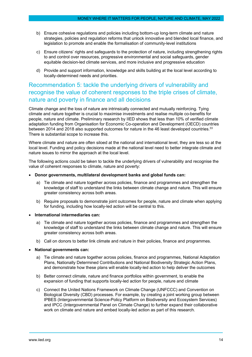- b) Ensure cohesive regulations and policies including bottom-up long-term climate and nature strategies, policies and regulation reforms that unlock innovative and blended local finance, and legislation to promote and enable the formalisation of community-level institutions
- c) Ensure citizens' rights and safeguards to the protection of nature, including strengthening rights to and control over resources, progressive environmental and social safeguards, gender equitable decision-led climate services, and more inclusive and progressive education
- d) Provide and support information, knowledge and skills building at the local level according to locally-determined needs and priorities.

# <span id="page-14-0"></span>Recommendation 5: tackle the underlying drivers of vulnerability and recognise the value of coherent responses to the triple crises of climate, nature and poverty in finance and all decisions

Climate change and the loss of nature are intrinsically connected and mutually reinforcing. Tying climate and nature together is crucial to maximise investments and realise multiple co-benefits for people, nature and climate. Preliminary research by IIED shows that less than 10% of verified climate adaptation funding from Organisation for Economic Co-operation and Development (OECD) countries between 2014 and 2018 also supported outcomes for nature in the 46 least developed countries. $^{\rm 33}$ There is substantial scope to increase this.

Where climate and nature are often siloed at the national and international level, they are less so at the local level. Funding and policy decisions made at the national level need to better integrate climate and nature issues to mirror the approach at the local level.

The following actions could be taken to tackle the underlying drivers of vulnerability and recognise the value of coherent responses to climate, nature and poverty:

- **Donor governments, multilateral development banks and global funds can:** 
	- a) Tie climate and nature together across policies, finance and programmes and strengthen the knowledge of staff to understand the links between climate change and nature. This will ensure greater consistency across both areas.
	- b) Require proposals to demonstrate joint outcomes for people, nature and climate when applying for funding, including how locally-led action will be central to this.
- **International intermediaries can:**
	- a) Tie climate and nature together across policies, finance and programmes and strengthen the knowledge of staff to understand the links between climate change and nature. This will ensure greater consistency across both areas.
	- b) Call on donors to better link climate and nature in their policies, finance and programmes.
- **National governments can:** 
	- a) Tie climate and nature together across policies, finance and programmes, National Adaptation Plans, Nationally Determined Contributions and National Biodiversity Strategic Action Plans, and demonstrate how these plans will enable locally-led action to help deliver the outcomes
	- b) Better connect climate, nature and finance portfolios within government, to enable the expansion of funding that supports locally-led action for people, nature and climate
	- c) Connect the United Nations Framework on Climate Change (UNFCCC) and Convention on Biological Diversity (CBD) processes. For example, by creating a joint working group between IPBES (Intergovernmental Science-Policy Platform on Biodiversity and Ecosystem Services) and IPCC (Intergovernmental Panel on Climate Change) to further expand their collaborative work on climate and nature and embed locally-led action as part of this research.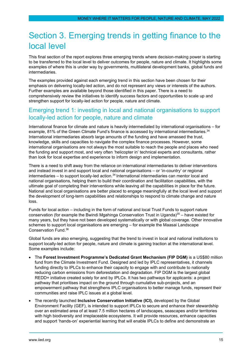# <span id="page-15-0"></span>Section 3. Emerging trends in getting finance to the local level

This final section of the report explores three emerging trends where decision-making power is starting to be transferred to the local level to deliver outcomes for people, nature and climate. It highlights some examples of where this is under way by governments, multilateral development banks, global funds and intermediaries.

The examples provided against each emerging trend in this section have been chosen for their emphasis on delivering locally-led action, and do not represent any views or interests of the authors. Further examples are available beyond those identified in this paper. There is a need to comprehensively review the initiatives to identify success factors and opportunities to scale up and strengthen support for locally-led action for people, nature and climate.

### <span id="page-15-1"></span>Emerging trend 1: investing in local and national organisations to support locally-led action for people, nature and climate

International finance for climate and nature is heavily intermediated by international organisations – for example, 81% of the Green Climate Fund's finance is accessed by international intermediaries.<sup>34</sup> International intermediaries absorb large amounts of the funding and have amassed the trust, knowledge, skills and capacities to navigate the complex finance processes. However, some international organisations are not always the most suitable to reach the people and places who need the funding and support most, and very often 'helicopter in' technical experts and consultants, rather than look for local expertise and experience to inform design and implementation.

There is a need to shift away from the reliance on international intermediaries to deliver interventions and instead invest in and support local and national organisations – or 'in-country' or regional intermediaries – to support locally-led action.<sup>34</sup> International intermediaries can mentor local and national organisations, helping them to build their coordination and facilitation capabilities, with the ultimate goal of completing their interventions while leaving all the capabilities in place for the future. National and local organisations are better placed to engage meaningfully at the local level and support the development of long-term capabilities and relationships to respond to climate change and nature loss.

Funds for local action – including in the form of national and local Trust Funds to support nature conservation (for example the Bwindi Mgahinga Conservation Trust in Uganda) $35 -$  have existed for many years, but they have not been developed systematically or with global coverage. Other innovative schemes to support local organisations are emerging – for example the Maasai Landscape Conservation Fund.36

Global funds are also emerging, suggesting that the trend to invest in local and national institutions to support locally-led action for people, nature and climate is gaining traction at the international level. Some examples include:

- The **Forest Investment Programme's Dedicated Grant Mechanism (FIP DGM)** is a US\$80 million fund from the Climate Investment Fund. Designed and led by IPLC representatives, it channels funding directly to IPLCs to enhance their capacity to engage with and contribute to nationally reducing carbon emissions from deforestation and degradation. FIP DGM is the largest global REDD+ initiative created solely for and by IPLCs. It has two pathways for applicants: a project pathway that prioritises impact on the ground through cumulative sub-projects, and an empowerment pathway that strengthens IPLC organisations to better manage funds, represent their communities and raise IPLC issues at a global level.
- The recently launched **Inclusive Conservation Initiative (ICI),** developed by the Global Environment Facility (GEF), is intended to support IPLCs to secure and enhance their stewardship over an estimated area of at least 7.5 million hectares of landscapes, seascapes and/or territories with high biodiversity and irreplaceable ecosystems. It will provide resources, enhance capacities and support 'hands-on' experiential learning that will enable IPLCs to define and demonstrate an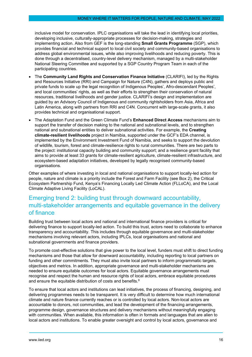inclusive model for conservation. IPLC organisations will take the lead in identifying local priorities, developing inclusive, culturally-appropriate processes for decision-making, strategies and implementing action. Also from GEF is the long-standing **Small Grants Programme** (SGP), which provides financial and technical support to local civil society and community-based organisations to address global environmental issues, while also improving livelihoods and reducing poverty. This is done through a decentralised, country-level delivery mechanism, managed by a multi-stakeholder National Steering Committee and supported by a SGP Country Program Team in each of the participating countries.

- The **Community Land Rights and Conservation Finance Initiative** (CLARIFI), led by the Rights and Resources Initiative (RRI) and Campaign for Nature (C4N), gathers and deploys public and private funds to scale up the legal recognition of Indigenous Peoples', Afro-descendant Peoples', and local communities' rights, as well as their efforts to strengthen their conservation of natural resources, traditional livelihoods and gender justice. CLARIFI's design and implementation are guided by an Advisory Council of Indigenous and community rightsholders from Asia, Africa and Latin America, along with partners from RRI and C4N. Concurrent with large-scale grants, it also provides technical and organisational support.
- The Adaptation Fund and the Green Climate Fund's **Enhanced Direct Access** mechanisms aim to support the transfer of decision making to the national and subnational levels, and to strengthen national and subnational entities to deliver subnational activities. For example, the **Creating climate-resilient livelihoods** project in Namibia, supported under the GCF's EDA channel, is implemented by the Environment Investment Fund of Namibia, and seeks to support the devolution of wildlife, tourism, forest and climate-resilience rights to rural communities. There are two parts to the project: institutional capacity building and community support; and a resilience grant facility that aims to provide at least 33 grants for climate-resilient agriculture, climate-resilient infrastructure, and ecosystem-based adaptation initiatives, developed by legally recognised community-based organisations.

Other examples of where investing in local and national organisations to support locally-led action for people, nature and climate is a priority include the Forest and Farm Facility (see Box 2), the Critical Ecosystem Partnership Fund, Kenya's Financing Locally Led Climate Action (FLLoCA), and the Local Climate Adaptive Living Facility (LoCAL).

# <span id="page-16-0"></span>Emerging trend 2: building trust through downward accountability, multi-stakeholder arrangements and equitable governance in the delivery of finance

Building trust between local actors and national and international finance providers is critical for delivering finance to support locally-led action. To build this trust, actors need to collaborate to enhance transparency and accountability. This includes through equitable governance and multi-stakeholder mechanisms involving relevant actors, including IPLCs, local organisations and national and subnational governments and finance providers.

To promote cost-effective solutions that give power to the local level, funders must shift to direct funding mechanisms and those that allow for downward accountability, including reporting to local partners on funding and other commitments. They must also invite local partners to inform programmatic targets, objectives and metrics. In addition, appropriate governance and multi-stakeholder mechanisms are needed to ensure equitable outcomes for local actors. Equitable governance arrangements must recognise and respect the human and resource rights of local actors, embrace equitable procedures and ensure the equitable distribution of costs and benefits.<sup>8</sup>

To ensure that local actors and institutions can lead initiatives, the process of financing, designing, and delivering programmes needs to be transparent. It is very difficult to determine how much international climate and nature finance currently reaches or is controlled by local actors. Non-local actors are accountable to donors, not communities, and lead the development of the financing arrangements, programme design, governance structures and delivery mechanisms without meaningfully engaging with communities. When available, this information is often in formats and languages that are alien to local actors and institutions. To enable greater oversight and control by local actors, governance and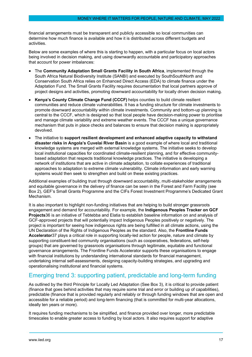financial arrangements must be transparent and publicly accessible so local communities can determine how much finance is available and how it is distributed across different budgets and activities.

Below are some examples of where this is starting to happen, with a particular focus on local actors being involved in decision making, and using downwardly accountable and participatory approaches that account for power imbalances:

- The **Community Adaptation Small Grants Facility in South Africa**, implemented through the South Africa Natural Biodiversity Institute (SANBI) and executed by SouthSouthNorth and Conservation South Africa relies on Enhanced Direct Access (EDA) to climate finance under the Adaptation Fund. The Small Grants Facility requires documentation that local partners approve of project designs and activities, promoting downward accountability for locally driven decision making.
- **Kenya's County Climate Change Fund (CCCF)** helps counties to build climate resilient communities and reduce climate vulnerabilities. It has a funding structure for climate investments to promote downward accountability within climate investments. Community and bottom-up planning is central to the CCCF, which is designed so that local people have decision-making power to prioritise and manage climate variability and extreme weather events. The CCCF has a unique governance mechanism that puts in place checks and balances to ensure that decision making is appropriately devolved.
- The initiative to **support resilient development and enhanced adaptive capacity to withstand disaster risks in Angola's Cuvelai River Basin** is a good example of where local and traditional knowledge systems are merged with external knowledge systems. The initiative seeks to develop local institutional capacities for coordinated climate-resilient planning, and for effective communitybased adaptation that respects traditional knowledge practices. The initiative is developing a network of institutions that are active in climate adaptation, to collate experiences of traditional approaches to adaptation to extreme climate vulnerability. Climate information and early warning systems would then seek to strengthen and build on these existing practices.

Additional examples of building trust through downward accountability, multi-stakeholder arrangements and equitable governance in the delivery of finance can be seen in the Forest and Farm Facility (see Box 2), GEF's Small Grants Programme and the CIFs Forest Investment Programme's Dedicated Grant Mechanism.

It is also important to highlight non-funding initiatives that are helping to build stronger grassroots engagement and demand for accountability. For example, the **Indigenous Peoples Tracker on GCF Projects**36 is an initiative of Tebtebba and Elatia to establish baseline information on and analysis of GCF-approved projects that will potentially impact Indigenous Peoples positively or negatively. The project is important for seeing how indigenous rights are being fulfilled in all climate actions, using the UN Declaration of the Rights of Indigenous Peoples as the standard. Also, the **Frontline Funds Accelerator**37 plays a critical role in supporting locally-led action for people, nature and climate by supporting constituent-led community organisations (such as cooperatives, federations, self-help groups) that are governed by grassroots organisations through legitimate, equitable and functional governance arrangements. The Frontline Funds Accelerator supports these organisations to engage with financial institutions by understanding international standards for financial management, undertaking internal self-assessments, designing capacity-building strategies, and upgrading and operationalising institutional and financial systems.

### <span id="page-17-0"></span>Emerging trend 3: supporting patient, predictable and long-term funding

As outlined by the third Principle for Locally Led Adaptation (See Box 3), it is critical to provide patient (finance that goes behind activities that may require some trial and error or building up of capabilities), predictable (finance that is provided regularly and reliably or through funding windows that are open and accessible for a reliable period) and long-term financing (that is committed for multi-year allocations, ideally ten years or more).

It requires funding mechanisms to be simplified, and finance provided over longer, more predictable timescales to enable greater access to funding by local actors. It also requires support for adaptive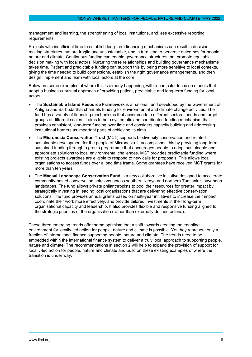management and learning, the strengthening of local institutions, and less excessive reporting requirements.

Projects with insufficient time to establish long-term financing mechanisms can result in decisionmaking structures that are fragile and unsustainable, and in turn lead to perverse outcomes for people, nature and climate. Continuous funding can enable governance structures that promote equitable decision making with local actors. Nurturing these relationships and building governance mechanisms takes time. Patient and predictable funding can support this by being more sensitive to local contexts, giving the time needed to build connections, establish the right governance arrangements, and then design, implement and learn with local actors at the core.

Below are some examples of where this is already happening, with a particular focus on models that adopt a business-unusual approach of providing patient, predictable and long-term funding for local actors:

- The **Sustainable Island Resource Framework** is a national fund developed by the Government of Antigua and Barbuda that channels funding for environmental and climate change activities. The fund has a variety of financing mechanisms that accommodate different sectoral needs and target groups at different scales. It aims to be a systematic and coordinated funding mechanism that provides consistent, long-term funding over time and considers capacity building and addressing institutional barriers as important parts of achieving its aims.
- The **Micronesia Conservation Trust** (MCT) supports biodiversity conservation and related sustainable development for the people of Micronesia. It accomplishes this by providing long-term, sustained funding through a grants programme that encourages people to adopt sustainable and appropriate solutions to local environmental challenges. MCT provides predictable funding where existing projects awardees are eligible to respond to new calls for proposals. This allows local organisations to access funds over a long time frame. Some grantees have received MCT grants for more than ten years.
- The **Maasai Landscape Conservation Fund** is a new collaborative initiative designed to accelerate community-based conservation solutions across southern Kenya and northern Tanzania's savannah landscapes. The fund allows private philanthropists to pool their resources for greater impact by strategically investing in leading local organisations that are delivering effective conservation solutions. The fund provides annual grants based on multi-year initiatives to increase their impact, coordinate their work more effectively, and provide tailored investments in their long-term organisational capacity and leadership. It also provides flexible and responsive funding aligned to the strategic priorities of the organisation (rather than externally-defined criteria).

These three emerging trends offer some optimism that a shift towards creating the enabling environment for locally-led action for people, nature and climate is possible. Yet they represent only a fraction of international finance supporting people, nature and climate. The trends need to be embedded within the international finance system to deliver a truly local approach to supporting people, nature and climate. The recommendations in section 2 will help to expand the provision of support for locally-led action for people, nature and climate and build on these existing examples of where the transition is under way.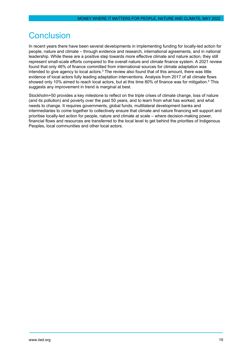# <span id="page-19-0"></span>Conclusion

In recent years there have been several developments in implementing funding for locally-led action for people, nature and climate – through evidence and research, international agreements, and in national leadership. While these are a positive step towards more effective climate and nature action, they still represent small-scale efforts compared to the overall nature and climate finance system. A 2021 review found that only 46% of finance committed from international sources for climate adaptation was intended to give agency to local actors.<sup>3</sup> The review also found that of this amount, there was little evidence of local actors fully leading adaptation interventions. Analysis from 2017 of all climate flows showed only 10% aimed to reach local actors, but at this time 80% of finance was for mitigation.<sup>4</sup> This suggests any improvement in trend is marginal at best.

Stockholm+50 provides a key milestone to reflect on the triple crises of climate change, loss of nature (and its pollution) and poverty over the past 50 years, and to learn from what has worked, and what needs to change. It requires governments, global funds, multilateral development banks and intermediaries to come together to collectively ensure that climate and nature financing will support and prioritise locally-led action for people, nature and climate at scale – where decision-making power, financial flows and resources are transferred to the local level to get behind the priorities of Indigenous Peoples, local communities and other local actors.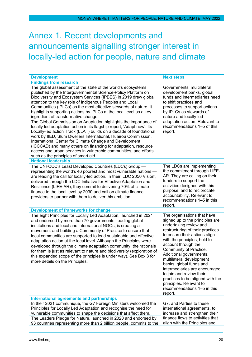# <span id="page-20-0"></span>Annex 1. Recent developments and announcements signalling stronger interest in locally-led action for people, nature and climate

| <b>Development</b>                                                                                                                                                                                                                                                                                                                                                                                                                                                                                                                                                                                                                                                                                                                                                                                                                                                                                                                                                             | <b>Next steps</b>                                                                                                                                                                                                                                                                                                                                                                                                                                                                                      |
|--------------------------------------------------------------------------------------------------------------------------------------------------------------------------------------------------------------------------------------------------------------------------------------------------------------------------------------------------------------------------------------------------------------------------------------------------------------------------------------------------------------------------------------------------------------------------------------------------------------------------------------------------------------------------------------------------------------------------------------------------------------------------------------------------------------------------------------------------------------------------------------------------------------------------------------------------------------------------------|--------------------------------------------------------------------------------------------------------------------------------------------------------------------------------------------------------------------------------------------------------------------------------------------------------------------------------------------------------------------------------------------------------------------------------------------------------------------------------------------------------|
| <b>Findings from research</b>                                                                                                                                                                                                                                                                                                                                                                                                                                                                                                                                                                                                                                                                                                                                                                                                                                                                                                                                                  |                                                                                                                                                                                                                                                                                                                                                                                                                                                                                                        |
| The global assessment of the state of the world's ecosystems<br>published by the Intergovernmental Science-Policy Platform on<br>Biodiversity and Ecosystem Services (IPBES) in 2019 drew global<br>attention to the key role of Indigenous Peoples and Local<br>Communities (IPLCs) as the most effective stewards of nature. It<br>highlights supporting actions by IPLCs at the local level as a key<br>ingredient of transformative change.<br>The Global Commission on Adaptation highlights the importance of<br>locally led adaptation action in its flagship report, 'Adapt now'. Its<br>Locally-led action Track (LLAT) builds on a decade of foundational<br>work by IIED, Slum Dwellers International, Huairou Commission,<br>International Center for Climate Change and Development<br>(ICCCAD) and many others on financing for adaptation, resource<br>access and urban services in vulnerable communities, and efforts<br>such as the principles of smart aid. | Governments, multilateral<br>development banks, global<br>funds and intermediaries need<br>to shift practices and<br>processes to support actions<br>by IPLCs as stewards of<br>nature and locally led<br>adaptation action. Relevant to<br>recommendations 1-5 of this<br>report.                                                                                                                                                                                                                     |
| <b>National leadership</b>                                                                                                                                                                                                                                                                                                                                                                                                                                                                                                                                                                                                                                                                                                                                                                                                                                                                                                                                                     |                                                                                                                                                                                                                                                                                                                                                                                                                                                                                                        |
| The UNFCCC's Least Developed Countries (LDCs) Group -<br>representing the world's 46 poorest and most vulnerable nations -<br>are leading the call for locally-led action. In their 'LDC 2050 Vision',<br>delivered through the LDC Initiative for Effective Adaptation and<br>Resilience (LIFE-AR), they commit to delivering 70% of climate<br>finance to the local level by 2030 and call on climate finance<br>providers to partner with them to deliver this ambition.                                                                                                                                                                                                                                                                                                                                                                                                                                                                                                    | The LDCs are implementing<br>the commitment through LIFE-<br>AR. They are calling on their<br>funders to support the<br>activities designed with this<br>purpose, and to reciprocate<br>accountability. Relevant to<br>recommendations 1-5 in this<br>report.                                                                                                                                                                                                                                          |
| <b>Development of frameworks for change</b>                                                                                                                                                                                                                                                                                                                                                                                                                                                                                                                                                                                                                                                                                                                                                                                                                                                                                                                                    |                                                                                                                                                                                                                                                                                                                                                                                                                                                                                                        |
| The eight Principles for Locally Led Adaptation, launched in 2021<br>and endorsed by more than 70 governments, leading global<br>institutions and local and international NGOs, is creating a<br>movement and building a Community of Practice to ensure that<br>local communities are supported to lead sustainable and effective<br>adaptation action at the local level. Although the Principles were<br>developed through the climate adaptation community, the rationale<br>for them is just as relevant to nature and biodiversity (exploration of<br>this expanded scope of the principles is under way). See Box 3 for<br>more details on the Principles.                                                                                                                                                                                                                                                                                                              | The organisations that have<br>signed up to the principles are<br>undertaking review and<br>restructuring of their practices<br>to ensure their actions align<br>with the principles, held to<br>account through the<br>Community of Practice.<br>Additional governments,<br>multilateral development<br>banks, global funds and<br>intermediaries are encouraged<br>to join and review their<br>practices to be aligned with the<br>principles. Relevant to<br>recommendations 1-5 in this<br>report. |
| <b>International agreements and partnerships</b>                                                                                                                                                                                                                                                                                                                                                                                                                                                                                                                                                                                                                                                                                                                                                                                                                                                                                                                               |                                                                                                                                                                                                                                                                                                                                                                                                                                                                                                        |
| In their 2021 communique, the G7 Foreign Ministers welcomed the<br>Principles for Locally Led Adaptation and recognise the need for<br>vulnerable communities to shape the decisions that affect them.<br>The Leaders Pledge for Nature, launched in 2020 and endorsed by<br>93 countries representing more than 2 billion people, commits to the                                                                                                                                                                                                                                                                                                                                                                                                                                                                                                                                                                                                                              | G7, and Parties to these<br>international agreements, to<br>increase and strengthen their<br>finance flows to activities that<br>align with the Principles and                                                                                                                                                                                                                                                                                                                                         |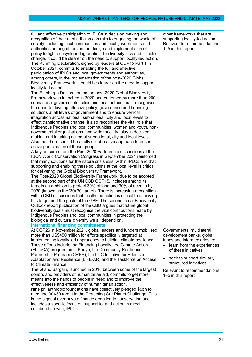| full and effective participation of IPLCs in decision making and<br>recognition of their rights. It also commits to engaging the whole of<br>society, including local communities and local governments and<br>authorities among others, in the design and implementation of<br>policy to fight ecosystem degradation, biodiversity loss and climate<br>change. It could be clearer on the need to support locally-led action.<br>The Kunming Declaration, signed by leaders at COP15 Part 1 in<br>October 2021, commits to enabling the full and effective<br>participation of IPLCs and local governments and authorities,<br>among others, in the implementation of the post-2020 Global<br>Biodiversity Framework. It could be clearer on the need to support<br>locally-led action.                                                                                                                                                                                                                            | other frameworks that are<br>supporting locally-led action.<br>Relevant to recommendations<br>1-5 in this report.                                                                                   |
|---------------------------------------------------------------------------------------------------------------------------------------------------------------------------------------------------------------------------------------------------------------------------------------------------------------------------------------------------------------------------------------------------------------------------------------------------------------------------------------------------------------------------------------------------------------------------------------------------------------------------------------------------------------------------------------------------------------------------------------------------------------------------------------------------------------------------------------------------------------------------------------------------------------------------------------------------------------------------------------------------------------------|-----------------------------------------------------------------------------------------------------------------------------------------------------------------------------------------------------|
| The Edinburgh Declaration on the post-2020 Global Biodiversity<br>Framework was launched in 2020 and endorsed by more than 200<br>subnational governments, cities and local authorities. It recognises<br>the need to develop effective policy, governance and financing<br>solutions at all levels of government and to ensure vertical<br>integration across national, subnational, city and local levels to<br>effect transformative change. It also recognises the vital role that<br>Indigenous Peoples and local communities, women and youth, non-<br>governmental organisations, and wider society, play in decision<br>making and in taking action at subnational, city and local levels.<br>Also that there should be a fully collaborative approach to ensure<br>active participation of these groups.<br>A key outcome from the Post-2020 Partnership discussions at the                                                                                                                                |                                                                                                                                                                                                     |
| <b>IUCN World Conservation Congress in September 2021 reinforced</b><br>that many solutions for the nature crisis exist within IPLCs and that<br>supporting and enabling these solutions at the local level is critical<br>for delivering the Global Biodiversity Framework.<br>The Post-2020 Global Biodiversity Framework, due to be adopted<br>at the second part of the UN CBD COP15, includes among its<br>targets an ambition to protect 30% of land and 30% of oceans by<br>2030 (known as the '30x30' target). There is increasing recognition<br>within CBD discussions that locally-led action is critical to achieving<br>this target and the goals of the GBF. The second Local Biodiversity<br>Outlook report publication of the CBD argues that future global<br>biodiversity goals must recognise the vital contributions made by<br>Indigenous Peoples and local communities in protecting the<br>biological and cultural diversity we all depend on.<br><b>International financing commitments</b> |                                                                                                                                                                                                     |
| At COP26 in November 2021, global leaders and funders mobilised<br>more than US\$450 million for efforts specifically targeted at<br>implementing locally led approaches to building climate resilience.<br>These efforts include the Financing Locally Led Climate Action<br>(FLLoCA) programme in Kenya, the Community Resilience<br>Partnership Program (CRPP), the LDC Initiative for Effective<br>Adaptation and Resilience (LIFE-AR) and the Taskforce on Access<br>to Climate Finance.                                                                                                                                                                                                                                                                                                                                                                                                                                                                                                                       | Governments, multilateral<br>development banks, global<br>funds and intermediaries to:<br>learn from the experiences<br>of these initiatives<br>seek to support similarly<br>structured initiatives |
| The Grand Bargain, launched in 2016 between some of the largest<br>donors and providers of humanitarian aid, commits to get more<br>means into the hands of people in need and to improve the<br>effectiveness and efficiency of humanitarian action.<br>Nine philanthropic foundations have collectively pledged \$5bn to<br>meet the 30X30 target in the Protecting Our Planet Challenge. This<br>is the biggest ever private finance donation to conservation and<br>includes a specific focus on support to, and action in direct<br>collaboration with, IPLCs.                                                                                                                                                                                                                                                                                                                                                                                                                                                 | Relevant to recommendations<br>1–5 in this report.                                                                                                                                                  |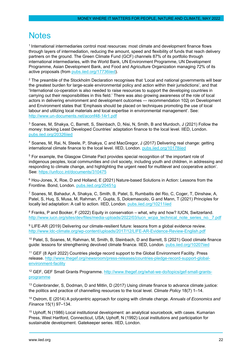# <span id="page-22-0"></span>**Notes**

<sup>1</sup> International intermediaries control most resources: most climate and development finance flows through layers of intermediation, reducing the amount, speed and flexibility of funds that reach delivery partners on the ground. The Green Climate Fund (GCF) channels 87% of its portfolio through international intermediaries, with the World Bank, UN Environment Programme, UN Development Programme, Asian Development Bank, and Food and Agriculture Organization managing 72% of its active proposals (from pubs.iied.org/17736iied).

<sup>2</sup> The preamble of the Stockholm Declaration recognises that 'Local and national governments will bear the greatest burden for large-scale environmental policy and action within their jurisdictions', and that 'International co-operation is also needed to raise resources to support the developing countries in carrying out their responsibilities in this field.' There was also growing awareness of the role of local actors in delivering environment and development outcomes — recommendation 102j on Development and Environment states that 'Emphasis should be placed on techniques promoting the use of local labour and utilizing local materials and local expertise in environmental management'. See: <http://www.un-documents.net/aconf48-14r1.pdf>

<sup>3</sup> Soanes, M, Shakya, C, Barrett, S, Steinbach, D, Nisi, N, Smith, B and Murdoch, J (2021) Follow the money: tracking Least Developed Countries' adaptation finance to the local level. IIED, London. pubs.iied.org/20326iied

<sup>4</sup> Soanes, M, Rai, N, Steele, P, Shakya, C and MacGregor, J (2017) Delivering real change: getting international climate finance to the local level. IIED, London. pubs.iied.org/10178iied

<sup>5</sup> For example, the Glasgow Climate Pact provides special recognition of 'the important role of indigenous peoples, local communities and civil society, including youth and children, in addressing and responding to climate change, and highlighting the urgent need for multilevel and cooperative action'. See:<https://unfccc.int/documents/310475>

 $6$  Hou-Jones, X, Roe, D and Holland, E (2021) Nature-based Solutions in Action: Lessons from the Frontline. Bond, London. pubs.iied.org/20451g

<sup>7</sup> Soanes, M, Bahadur, A, Shakya, C, Smith, B, Patel, S, Rumbaitis del Rio, C, Coger, T, Dinshaw, A, Patel, S, Huq, S, Musa, M, Rahman, F, Gupta, S, Dolcemascolo, G and Mann, T (2021) Principles for locally led adaptation: A call to action. IIED, London. pubs.iied.org/10211iied

<sup>8</sup> Franks, P and Booker, F (2022) Equity in conservation – what, why and how? IUCN, Switzerland. [http://www.iucn.org/sites/dev/files/media-uploads/2022/03/iucn\\_wcpa\\_technical\\_note\\_series\\_no.\\_7.pdf](http://www.iucn.org/sites/dev/files/media-uploads/2022/03/iucn_wcpa_technical_note_series_no._7.pdf)

<sup>9</sup> LIFE-AR (2019) Delivering our climate-resilient future: lessons from a global evidence review. <http://www.ldc-climate.org/wp-content/uploads/2017/12/LIFE-AR-Evidence-Review-English.pdf>

<sup>10</sup> Patel, S, Soanes, M, Rahman, M, Smith, B, Steinbach, D and Barrett, S (2021) Good climate finance guide: lessons for strengthening devolved climate finance. IIED, London. pubs.iied.org/10207iied

<sup>11</sup> GEF (8 April 2022) Countries pledge record support to the Global Environment Facility. Press release. [http://www.thegef.org/newsroom/press-releases/countries-pledge-record-support-global](http://www.thegef.org/newsroom/press-releases/countries-pledge-record-support-global-environment-facility)[environment-facility](http://www.thegef.org/newsroom/press-releases/countries-pledge-record-support-global-environment-facility)

<sup>12</sup> GEF, GEF Small Grants Programme. [http://www.thegef.org/what-we-do/topics/gef-small-grants](http://www.thegef.org/what-we-do/topics/gef-small-grants-programme)[programme](http://www.thegef.org/what-we-do/topics/gef-small-grants-programme)

<sup>13</sup> Colenbrander, S, Dodman, D and Mitlin, D (2017) Using climate finance to advance climate justice: the politics and practice of channelling resources to the local level. *Climate Policy* 18(7) 1–14.

<sup>14</sup> Ostrom, E (2014) A polycentric approach for coping with climate change. *Annuals of Economics and Finance* 15(1) 97–134.

<sup>15</sup> Uphoff, N (1986) Local institutional development: an analytical sourcebook, with cases. Kumarian Press, West Hartford, Connecticut, USA; Uphoff, N (1992) Local institutions and participation for sustainable development. Gatekeeper series. IIED, London.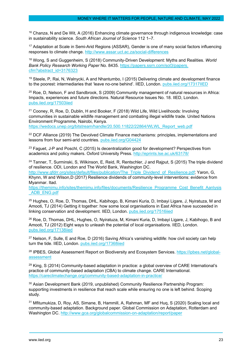<sup>16</sup> Chanza, N and De Wit, A (2016) Enhancing climate governance through indigenous knowledge: case in sustainability science. *South African Journal of Science* 112 1–7.

<sup>17</sup> Adaptation at Scale in Semi-Arid Regions (ASSAR), Gender is one of many social factors influencing responses to climate change.<http://www.assar.uct.ac.za/social-differences>

<sup>18</sup> Wong, S and Guggenheim, S (2018) Community-Driven Development: Myths and Realities. *World Bank Policy Research Working Paper* No. 8435[. https://papers.ssrn.com/sol3/papers.](https://papers.ssrn.com/sol3/papers.%20cfm?abstract_id=3176323)  [cfm?abstract\\_id=3176323](https://papers.ssrn.com/sol3/papers.%20cfm?abstract_id=3176323)

<sup>19</sup> Steele, P, Rai, N, Walnycki, A and Nhantumbo, I (2015) Delivering climate and development finance to the poorest: intermediaries that 'leave no-one behind'. IIED, London. pubs.iied.org/17317IIED

 $20$  Roe, D, Nelson, F and Sandbrook, S (2009) Community management of natural resources in Africa: Impacts, experiences and future directions. Natural Resource Issues No. 18. IIED, London. pubs.iied.org/17503iied

<sup>21</sup> Cooney, R, Roe, D, Dublin, H and Booker, F (2018) Wild Life, Wild Livelihoods: Involving communities in sustainable wildlife management and combating illegal wildlife trade. United Nations Environment Programme, Nairobi, Kenya.

[https://wedocs.unep.org/bitstream/handle/20.500.11822/22864/WLWL\\_Report\\_web.pdf](https://wedocs.unep.org/bitstream/handle/20.500.11822/22864/WLWL_Report_web.pdf)

<sup>22</sup> DCF Alliance (2019) The Devolved Climate Finance mechanisms: principles, implementations and lessons from four semi-arid countries. pubs.iied.org/G04424

 $23$  Faguet, J-P and Poschl, C (2015) Is decentralization good for development? Perspectives from academics and policy makers. Oxford University Press.<http://eprints.lse.ac.uk/63178/>

 $24$  Tanner, T, Surminski, S, Wilkinson, E, Reid, R, Rentschler, J and Rajput, S (2015) The triple dividend of resilience. ODI, London and The World Bank, Washington DC.

[http://www.gfdrr.org/sites/default/files/publication/The\\_Triple\\_Dividend\\_of\\_Resilience.pdf;](http://www.gfdrr.org/sites/default/files/publication/The_Triple_Dividend_of_Resilience.pdf) Yaron, G, Khynn, W and Wilson,D (2017) Resilience dividends of community-level interventions: evidence from Myanmar. Itad.

[https://themimu.info/sites/themimu.info/files/documents/Resilience\\_Programme\\_Cost\\_Benefit\\_Aanlysis](https://themimu.info/sites/themimu.info/files/documents/Resilience_Programme_Cost_Benefit_Aanlysis_ADB_ENG.pdf) ADB\_ENG.pdf

<sup>25</sup> Hughes, O, Roe, D, Thomas, DHL, Kabihogo, B, Kimani Kuria, D, Imbayi Ligare, J, Nyiratuza, M and Amooti, TJ (2014) Getting it together: how some local organisations in East Africa have succeeded in linking conservation and development. IIED, London. pubs.iied.org/17516iied

<sup>26</sup> Roe, D, Thomas, DHL, Hughes, O, Nyiratuza, M, Kimani Kuria, D, Imbayi Ligare, J, Kabihogo, B and Amooti, TJ (2012) Eight ways to unleash the potential of local organisations. IIED, London. pubs.iied.org/17138iied

 $27$  Nelson, F, Sulle, E and Roe, D (2016) Saving Africa's vanishing wildlife: how civil society can help turn the tide. IIED, London. pubs.iied.org/17368iied

<sup>28</sup> IPBES, Global Assessment Report on Biodiversity and Ecosystem Services. [https://ipbes.net/global](https://ipbes.net/global-assessment)**[assessment](https://ipbes.net/global-assessment)** 

 $29$  King, S (2014) Community-based adaptation in practice: a global overview of CARE International's practice of community-based adaptation (CBA) to climate change. CARE International. <https://careclimatechange.org/community-based-adaptation-in-practice/>

<sup>30</sup> Asian Development Bank (2019, unpublished) Community Resilience Partnership Program: supporting investments in resilience that reach scale while ensuring no one is left behind. Scoping study.

<sup>31</sup> Mfitumukiza, D, Roy, AS, Simane, B, Hammill, A, Rahman, MF and Huq, S (2020) Scaling local and community-based adaptation. Background paper. Global Commission on Adaptation, Rotterdam and Washington DC.<http://www.gca.org/globalcommission-on-adaptation/report/paper>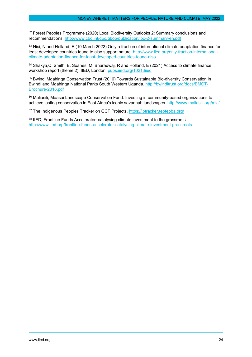<sup>32</sup> Forest Peoples Programme (2020) Local Biodiversity Outlooks 2: Summary conclusions and recommendations.<http://www.cbd.int/gbo/gbo5/publication/lbo-2-summary-en.pdf>

33 Nisi, N and Holland, E (10 March 2022) Only a fraction of international climate adaptation finance for least developed countries found to also support nature. [http://www.iied.org/only-fraction-international](http://www.iied.org/only-fraction-international-climate-adaptation-finance-for-least-developed-countries-found-also)[climate-adaptation-finance-for-least-developed-countries-found-also](http://www.iied.org/only-fraction-international-climate-adaptation-finance-for-least-developed-countries-found-also)

<sup>34</sup> Shakya,C, Smith, B, Soanes, M, Bharadwaj, R and Holland, E (2021) Access to climate finance: workshop report (theme 2). IIED, London. pubs.iied.org/10213iied

<sup>35</sup> Bwindi Mgahinga Conservation Trust (2016) Towards Sustainable Bio-diversity Conservation in Bwindi and Mgahinga National Parks South Western Uganda. [http://bwinditrust.org/docs/BMCT-](http://bwinditrust.org/docs/BMCT-Brochure-2016.pdf)[Brochure-2016.pdf](http://bwinditrust.org/docs/BMCT-Brochure-2016.pdf)

<sup>36</sup> Maliasili, Maasai Landscape Conservation Fund. Investing in community-based organizations to achieve lasting conservation in East Africa's iconic savannah landscapes.<http://www.maliasili.org/mlcf>

37 The Indigenous Peoples Tracker on GCF Projects.<https://iptracker.tebtebba.org/>

<sup>38</sup> IIED, Frontline Funds Accelerator: catalysing climate investment to the grassroots. <http://www.iied.org/frontline-funds-accelerator-catalysing-climate-investment-grassroots>